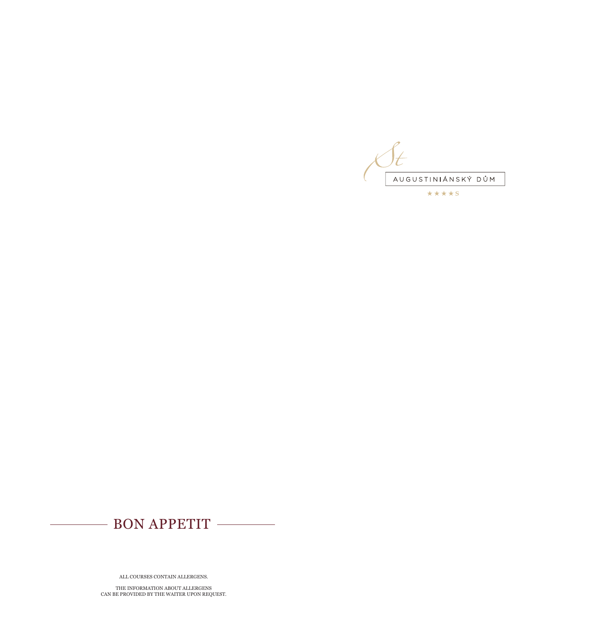THE INFORMATION ABOUT ALLERGENS CAN BE PROVIDED BY THE WAITER UPON REQUEST.

ALL COURSES CONTAIN ALLERGENS.

- BON APPETIT -

AUGUSTINIÁNSKÝ DŮM \*\*\*\*\*